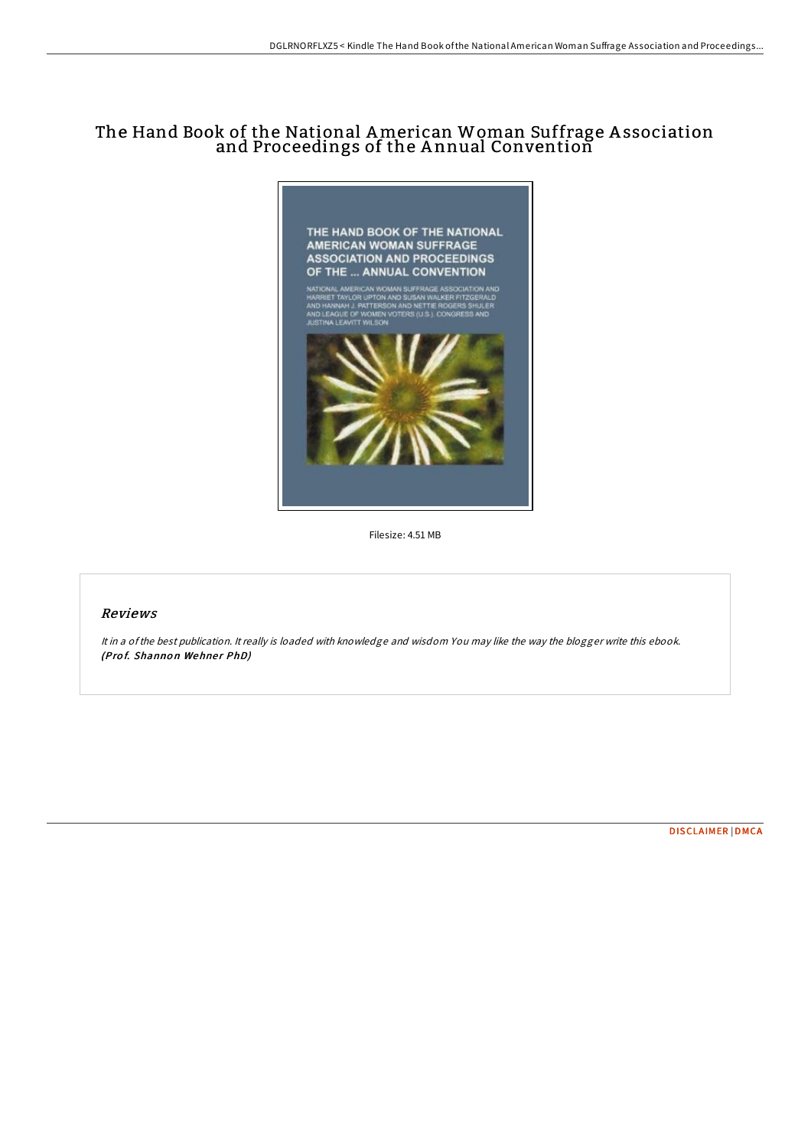# The Hand Book of the National American Woman Suffrage A ssociation and Proceedings of the A nnual Convention



Filesize: 4.51 MB

### Reviews

It in <sup>a</sup> ofthe best publication. It really is loaded with knowledge and wisdom You may like the way the blogger write this ebook. (Prof. Shannon Wehner PhD)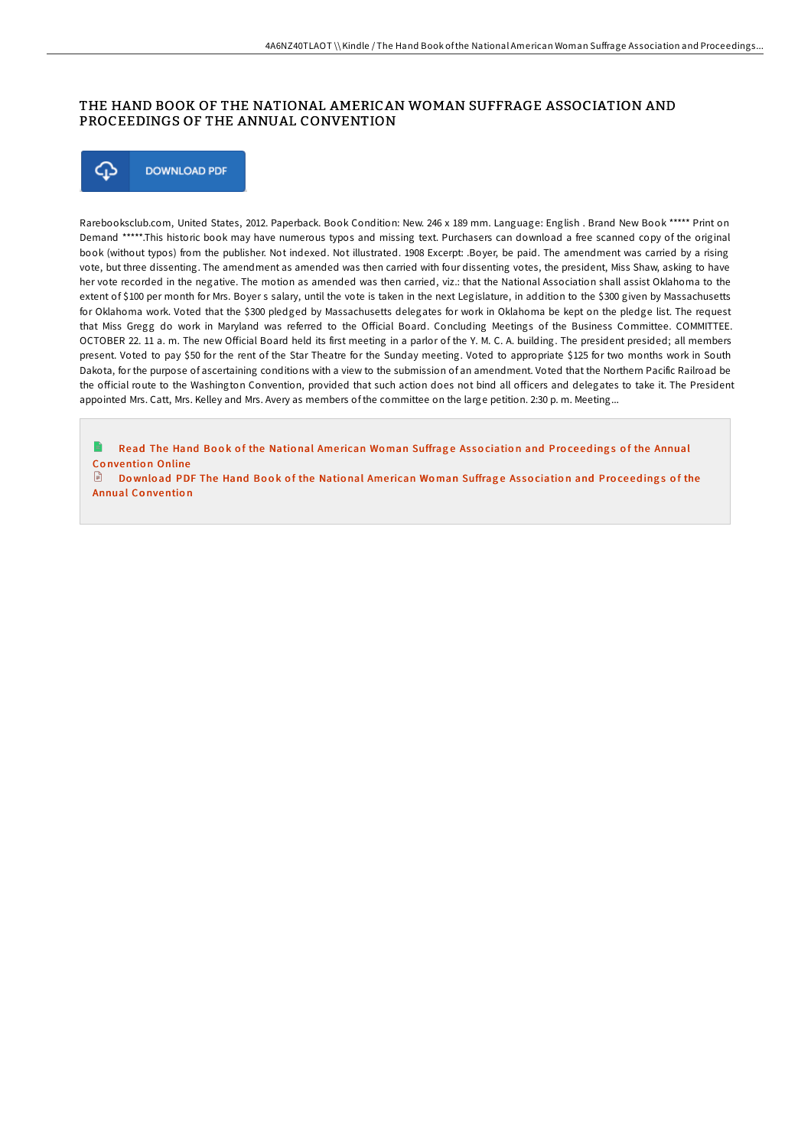## THE HAND BOOK OF THE NATIONAL AMERICAN WOMAN SUFFRAGE ASSOCIATION AND PROCEEDINGS OF THE ANNUAL CONVENTION



Rarebooksclub.com, United States, 2012. Paperback. Book Condition: New. 246 x 189 mm. Language: English . Brand New Book \*\*\*\*\* Print on Demand \*\*\*\*\*.This historic book may have numerous typos and missing text. Purchasers can download a free scanned copy of the original book (without typos) from the publisher. Not indexed. Not illustrated. 1908 Excerpt: .Boyer, be paid. The amendment was carried by a rising vote, but three dissenting. The amendment as amended was then carried with four dissenting votes, the president, Miss Shaw, asking to have her vote recorded in the negative. The motion as amended was then carried, viz.: that the National Association shall assist Oklahoma to the extent of \$100 per month for Mrs. Boyer s salary, until the vote is taken in the next Legislature, in addition to the \$300 given by Massachusetts for Oklahoma work. Voted that the \$300 pledged by Massachusetts delegates for work in Oklahoma be kept on the pledge list. The request that Miss Gregg do work in Maryland was referred to the Official Board. Concluding Meetings of the Business Committee. COMMITTEE. OCTOBER 22. 11 a. m. The new Official Board held its first meeting in a parlor of the Y. M. C. A. building. The president presided: all members present. Voted to pay \$50 for the rent of the Star Theatre for the Sunday meeting. Voted to appropriate \$125 for two months work in South Dakota, for the purpose of ascertaining conditions with a view to the submission of an amendment. Voted that the Northern Pacific Railroad be the official route to the Washington Convention, provided that such action does not bind all officers and delegates to take it. The President appointed Mrs. Catt, Mrs. Kelley and Mrs. Avery as members of the committee on the large petition. 2:30 p. m. Meeting...

e Read The Hand Book of the National American Woman Suffrage Association and Proceedings of the Annual Co [nventio](http://almighty24.tech/the-hand-book-of-the-national-american-woman-suf.html) n Online

 $\Box$  Download PDF The Hand Book of the National American Woman Suffrage Association and Proceedings of the Annual Co [nventio](http://almighty24.tech/the-hand-book-of-the-national-american-woman-suf.html) n